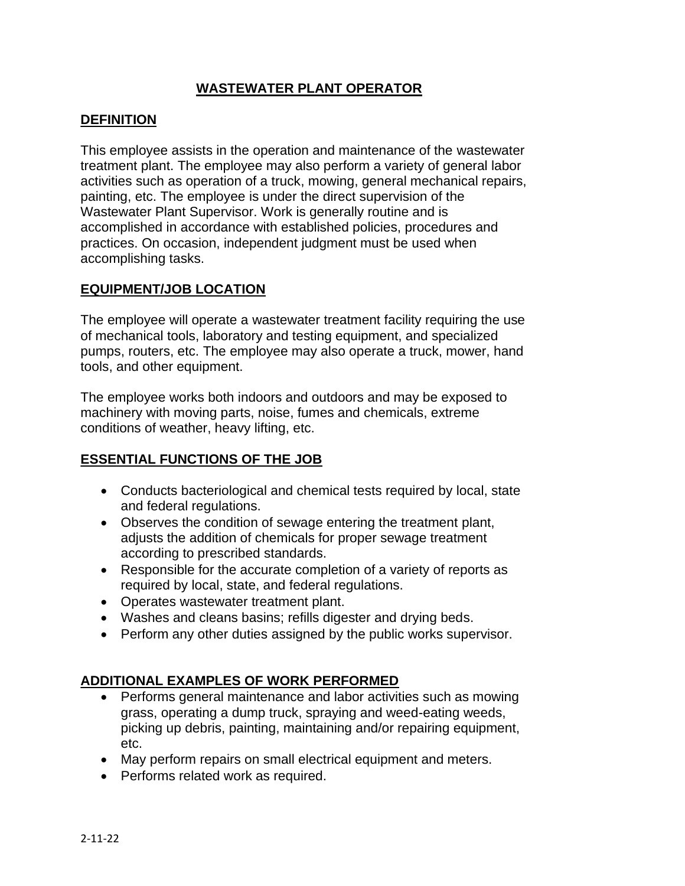## **WASTEWATER PLANT OPERATOR**

#### **DEFINITION**

This employee assists in the operation and maintenance of the wastewater treatment plant. The employee may also perform a variety of general labor activities such as operation of a truck, mowing, general mechanical repairs, painting, etc. The employee is under the direct supervision of the Wastewater Plant Supervisor. Work is generally routine and is accomplished in accordance with established policies, procedures and practices. On occasion, independent judgment must be used when accomplishing tasks.

### **EQUIPMENT/JOB LOCATION**

The employee will operate a wastewater treatment facility requiring the use of mechanical tools, laboratory and testing equipment, and specialized pumps, routers, etc. The employee may also operate a truck, mower, hand tools, and other equipment.

The employee works both indoors and outdoors and may be exposed to machinery with moving parts, noise, fumes and chemicals, extreme conditions of weather, heavy lifting, etc.

#### **ESSENTIAL FUNCTIONS OF THE JOB**

- Conducts bacteriological and chemical tests required by local, state and federal regulations.
- Observes the condition of sewage entering the treatment plant, adjusts the addition of chemicals for proper sewage treatment according to prescribed standards.
- Responsible for the accurate completion of a variety of reports as required by local, state, and federal regulations.
- Operates wastewater treatment plant.
- Washes and cleans basins; refills digester and drying beds.
- Perform any other duties assigned by the public works supervisor.

#### **ADDITIONAL EXAMPLES OF WORK PERFORMED**

- Performs general maintenance and labor activities such as mowing grass, operating a dump truck, spraying and weed-eating weeds, picking up debris, painting, maintaining and/or repairing equipment, etc.
- May perform repairs on small electrical equipment and meters.
- Performs related work as required.